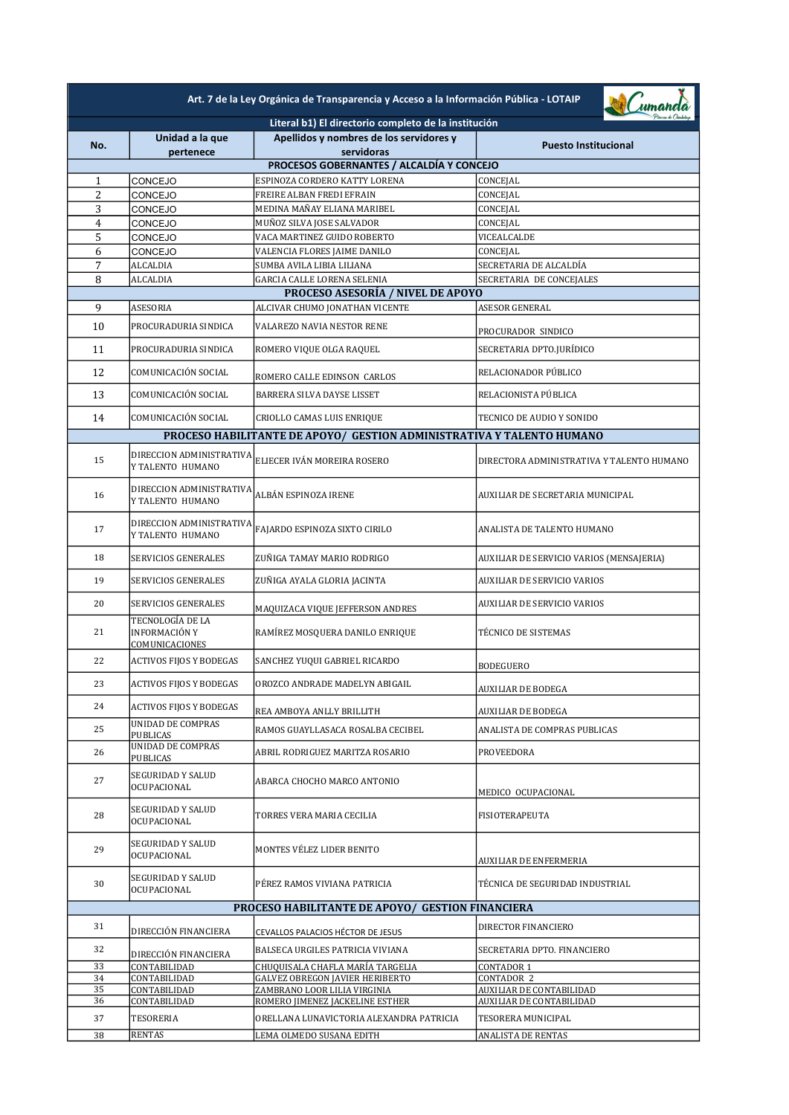| Art. 7 de la Ley Orgánica de Transparencia y Acceso a la Información Pública - LOTAIP |                                                     |                                                                        |                                               |
|---------------------------------------------------------------------------------------|-----------------------------------------------------|------------------------------------------------------------------------|-----------------------------------------------|
|                                                                                       |                                                     | Literal b1) El directorio completo de la institución                   |                                               |
| No.                                                                                   | Unidad a la que<br>pertenece                        | Apellidos y nombres de los servidores y<br>servidoras                  | <b>Puesto Institucional</b>                   |
|                                                                                       |                                                     | PROCESOS GOBERNANTES / ALCALDÍA Y CONCEJO                              |                                               |
| 1                                                                                     | CONCEJO                                             | ESPINOZA CORDERO KATTY LORENA                                          | CONCEJAL                                      |
| 2                                                                                     | CONCEJO                                             | FREIRE ALBAN FREDI EFRAIN                                              | CONCEJAL                                      |
| 3                                                                                     | CONCEJO                                             | MEDINA MAÑAY ELIANA MARIBEL                                            | CONCEJAL                                      |
| 4<br>5                                                                                | CONCEJO<br>CONCEJO                                  | MUÑOZ SILVA JOSE SALVADOR<br>VACA MARTINEZ GUIDO ROBERTO               | CONCEJAL<br>VICEALCALDE                       |
| 6                                                                                     | CONCEJO                                             | VALENCIA FLORES JAIME DANILO                                           | CONCEJAL                                      |
| 7                                                                                     | ALCALDIA                                            | SUMBA AVILA LIBIA LILIANA                                              | SECRETARIA DE ALCALDÍA                        |
| 8                                                                                     | ALCALDIA                                            | GARCIA CALLE LORENA SELENIA                                            | SECRETARIA DE CONCEJALES                      |
|                                                                                       |                                                     | <b>PROCESO ASESORÍA / NIVEL DE APOYO</b>                               |                                               |
| 9                                                                                     | ASESORIA                                            | ALCIVAR CHUMO JONATHAN VICENTE                                         | ASESOR GENERAL                                |
| 10                                                                                    | PROCURADURIA SINDICA                                | VALAREZO NAVIA NESTOR RENE                                             | PROCURADOR SINDICO                            |
| 11                                                                                    | PROCURADURIA SINDICA                                | ROMERO VIQUE OLGA RAQUEL                                               | SECRETARIA DPTO.JURÍDICO                      |
| 12                                                                                    | COMUNICACIÓN SOCIAL                                 | ROMERO CALLE EDINSON CARLOS                                            | RELACIONADOR PÚBLICO                          |
| 13                                                                                    | COMUNICACIÓN SOCIAL                                 | BARRERA SILVA DAYSE LISSET                                             | RELACIONISTA PÚBLICA                          |
| 14                                                                                    | COMUNICACIÓN SOCIAL                                 | CRIOLLO CAMAS LUIS ENRIQUE                                             | TECNICO DE AUDIO Y SONIDO                     |
|                                                                                       |                                                     | PROCESO HABILITANTE DE APOYO/ GESTION ADMINISTRATIVA Y TALENTO HUMANO  |                                               |
| 15                                                                                    | DIRECCION ADMINISTRATIVA<br>Y TALENTO HUMANO        | ELIECER IVÁN MOREIRA ROSERO                                            | DIRECTORA ADMINISTRATIVA Y TALENTO HUMANO     |
| 16                                                                                    | DIRECCION ADMINISTRATIVA<br>Y TALENTO HUMANO        | ALBÁN ESPINOZA IRENE                                                   | AUXILIAR DE SECRETARIA MUNICIPAL              |
| 17                                                                                    | DIRECCION ADMINISTRATIVA<br>Y TALENTO HUMANO        | FAJARDO ESPINOZA SIXTO CIRILO                                          | ANALISTA DE TALENTO HUMANO                    |
| 18                                                                                    | SERVICIOS GENERALES                                 | ZUÑIGA TAMAY MARIO RODRIGO                                             | AUXILIAR DE SERVICIO VARIOS (MENSAJERIA)      |
| 19                                                                                    | SERVICIOS GENERALES                                 | ZUÑIGA AYALA GLORIA JACINTA                                            | <b>AUXILIAR DE SERVICIO VARIOS</b>            |
| 20                                                                                    | <b>SERVICIOS GENERALES</b>                          | MAQUIZACA VIQUE JEFFERSON ANDRES                                       | <b>AUXILIAR DE SERVICIO VARIOS</b>            |
| 21                                                                                    | TECNOLOGÍA DE LA<br>INFORMACIÓN Y<br>COMUNICACIONES | RAMÍREZ MOSQUERA DANILO ENRIQUE                                        | TÉCNICO DE SISTEMAS                           |
| 22                                                                                    | <b>ACTIVOS FIJOS Y BODEGAS</b>                      | SANCHEZ YUQUI GABRIEL RICARDO                                          | BODEGUERO                                     |
| 23                                                                                    | <b>ACTIVOS FIJOS Y BODEGAS</b>                      | OROZCO ANDRADE MADELYN ABIGAIL                                         | <b>AUXILIAR DE BODEGA</b>                     |
| 24                                                                                    | ACTIVOS FIJOS Y BODEGAS                             | REA AMBOYA ANLLY BRILLITH                                              | AUXILIAR DE BODEGA                            |
| 25                                                                                    | UNIDAD DE COMPRAS<br>PUBLICAS                       | RAMOS GUAYLLASACA ROSALBA CECIBEL                                      | ANALISTA DE COMPRAS PUBLICAS                  |
| 26                                                                                    | UNIDAD DE COMPRAS<br>PUBLICAS                       | ABRIL RODRIGUEZ MARITZA ROSARIO                                        | PROVEEDORA                                    |
| 27                                                                                    | SEGURIDAD Y SALUD<br>OCUPACIONAL                    | ABARCA CHOCHO MARCO ANTONIO                                            | MEDICO OCUPACIONAL                            |
| 28                                                                                    | SEGURIDAD Y SALUD<br>OCUPACIONAL                    | TORRES VERA MARIA CECILIA                                              | <b>FISIOTERAPEUTA</b>                         |
| 29                                                                                    | SEGURIDAD Y SALUD<br>OCUPACIONAL                    | MONTES VÉLEZ LIDER BENITO                                              | AUXILIAR DE ENFERMERIA                        |
| 30                                                                                    | SEGURIDAD Y SALUD<br>OCUPACIONAL                    | PÉREZ RAMOS VIVIANA PATRICIA                                           | TÉCNICA DE SEGURIDAD INDUSTRIAL               |
| PROCESO HABILITANTE DE APOYO/ GESTION FINANCIERA                                      |                                                     |                                                                        |                                               |
| 31                                                                                    | DIRECCIÓN FINANCIERA                                | CEVALLOS PALACIOS HÉCTOR DE JESUS                                      | DIRECTOR FINANCIERO                           |
| 32                                                                                    | DIRECCIÓN FINANCIERA                                | BALSECA URGILES PATRICIA VIVIANA                                       | SECRETARIA DPTO. FINANCIERO                   |
| 33                                                                                    | CONTABILIDAD                                        | CHUQUISALA CHAFLA MARÍA TARGELIA                                       | CONTADOR 1                                    |
| 34<br>35                                                                              | CONTABILIDAD<br>CONTABILIDAD                        | <b>GALVEZ OBREGON JAVIER HERIBERTO</b><br>ZAMBRANO LOOR LILIA VIRGINIA | CONTADOR 2<br><b>AUXILIAR DE CONTABILIDAD</b> |
| 36                                                                                    | CONTABILIDAD                                        | ROMERO JIMENEZ JACKELINE ESTHER                                        | AUXILIAR DE CONTABILIDAD                      |
| 37                                                                                    | TESORERIA                                           | ORELLANA LUNAVICTORIA ALEXANDRA PATRICIA                               | TESORERA MUNICIPAL                            |
| 38                                                                                    | <b>RENTAS</b>                                       | LEMA OLMEDO SUSANA EDITH                                               | ANALISTA DE RENTAS                            |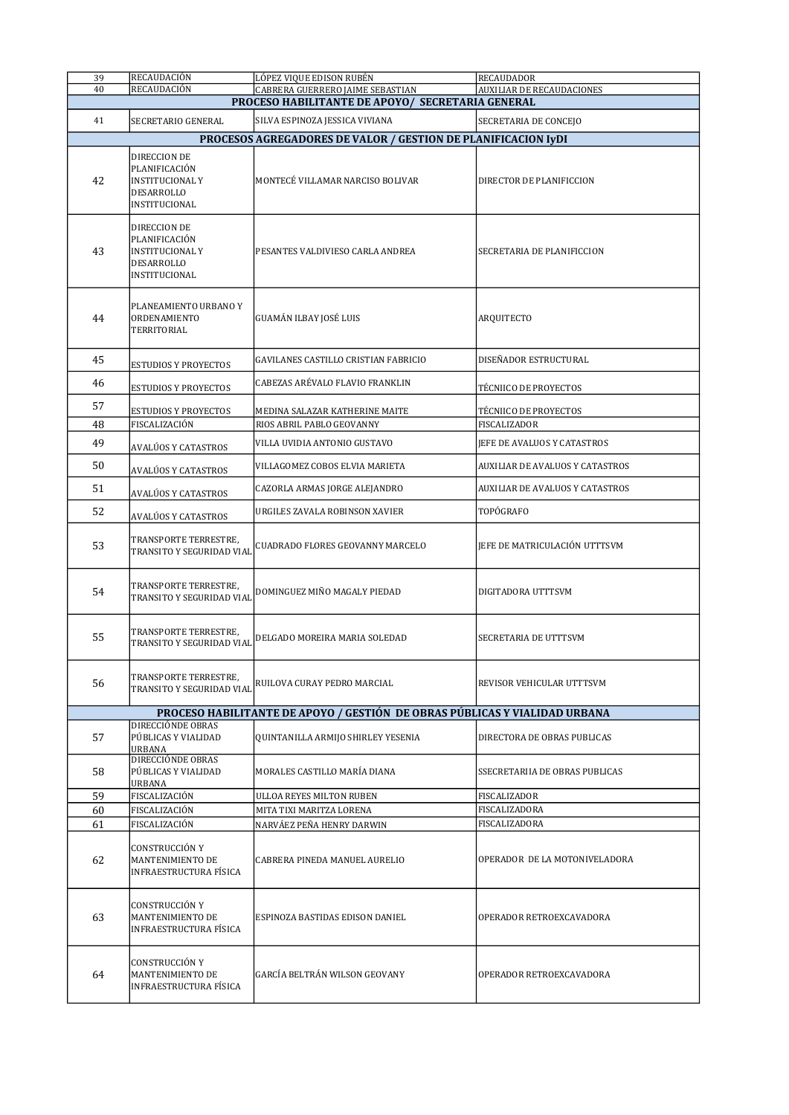| 39       | RECAUDACIÓN                                                                            | LÓPEZ VIQUE EDISON RUBÉN                                                             | <b>RECAUDADOR</b>                  |
|----------|----------------------------------------------------------------------------------------|--------------------------------------------------------------------------------------|------------------------------------|
| 40       | RECAUDACIÓN                                                                            | CABRERA GUERRERO JAIME SEBASTIAN<br>PROCESO HABILITANTE DE APOYO/ SECRETARIA GENERAL | <b>AUXILIAR DE RECAUDACIONES</b>   |
| 41       | SECRETARIO GENERAL                                                                     | SILVA ESPINOZA JESSICA VIVIANA                                                       | SECRETARIA DE CONCEJO              |
|          |                                                                                        | PROCESOS AGREGADORES DE VALOR / GESTION DE PLANIFICACION IyDI                        |                                    |
| 42       | DIRECCION DE<br>PLANIFICACIÓN<br><b>INSTITUCIONAL Y</b><br>DESARROLLO<br>INSTITUCIONAL | MONTECÉ VILLAMAR NARCISO BOLIVAR                                                     | DIRECTOR DE PLANIFICCION           |
| 43       | DIRECCION DE<br>PLANIFICACIÓN<br><b>INSTITUCIONAL Y</b><br>DESARROLLO<br>INSTITUCIONAL | PESANTES VALDIVIESO CARLA ANDREA                                                     | SECRETARIA DE PLANIFICCION         |
| 44       | PLANEAMIENTO URBANO Y<br><b>ORDENAMIENTO</b><br>TERRITORIAL                            | GUAMÁN ILBAY JOSÉ LUIS                                                               | ARQUITECTO                         |
| 45       | <b>ESTUDIOS Y PROYECTOS</b>                                                            | GAVILANES CASTILLO CRISTIAN FABRICIO                                                 | DISEÑADOR ESTRUCTURAL              |
| 46       | <b>ESTUDIOS Y PROYECTOS</b>                                                            | CABEZAS ARÉVALO FLAVIO FRANKLIN                                                      | TÉCNIICO DE PROYECTOS              |
| 57       | <b>ESTUDIOS Y PROYECTOS</b>                                                            | MEDINA SALAZAR KATHERINE MAITE                                                       | TÉCNIICO DE PROYECTOS              |
| 48       | FISCALIZACIÓN                                                                          | RIOS ABRIL PABLO GEOVANNY                                                            | FISCALIZADOR                       |
| 49       | AVALÚOS Y CATASTROS                                                                    | VILLA UVIDIA ANTONIO GUSTAVO                                                         | <b>IEFE DE AVALUOS Y CATASTROS</b> |
| 50       | AVALÚOS Y CATASTROS                                                                    | VILLAGOMEZ COBOS ELVIA MARIETA                                                       | AUXILIAR DE AVALUOS Y CATASTROS    |
| 51       | AVALÚOS Y CATASTROS                                                                    | CAZORLA ARMAS JORGE ALEJANDRO                                                        | AUXILIAR DE AVALUOS Y CATASTROS    |
| 52       | AVALÚOS Y CATASTROS                                                                    | URGILES ZAVALA ROBINSON XAVIER                                                       | TOPÓGRAFO                          |
| 53       | TRANSPORTE TERRESTRE,<br>TRANSITO Y SEGURIDAD VIAL                                     | CUADRADO FLORES GEOVANNY MARCELO                                                     | JEFE DE MATRICULACIÓN UTTTSVM      |
| 54       | TRANSPORTE TERRESTRE,<br>TRANSITO Y SEGURIDAD VIAL                                     | DOMINGUEZ MIÑO MAGALY PIEDAD                                                         | DIGITADORA UTTTSVM                 |
| 55       | TRANSPORTE TERRESTRE,<br>TRANSITO Y SEGURIDAD VIAL                                     | DELGADO MOREIRA MARIA SOLEDAD                                                        | SECRETARIA DE UTTTSVM              |
| 56       | TRANSPORTE TERRESTRE,<br>TRANSITO Y SEGURIDAD VIAL                                     | RUILOVA CURAY PEDRO MARCIAL                                                          | REVISOR VEHICULAR UTTTSVM          |
|          |                                                                                        | PROCESO HABILITANTE DE APOYO / GESTIÓN DE OBRAS PÚBLICAS Y VIALIDAD URBANA           |                                    |
| 57       | DIRECCIÓNDE OBRAS<br>PÚBLICAS Y VIALIDAD<br><b>URBANA</b>                              | QUINTANILLA ARMIJO SHIRLEY YESENIA                                                   | DIRECTORA DE OBRAS PUBLICAS        |
| 58       | DIRECCIÓNDE OBRAS<br>PÚBLICAS Y VIALIDAD<br>URBANA                                     | MORALES CASTILLO MARÍA DIANA                                                         | SSECRETARIIA DE OBRAS PUBLICAS     |
| 59       | FISCALIZACIÓN                                                                          | ULLOA REYES MILTON RUBEN                                                             | FISCALIZADOR                       |
| 60<br>61 | FISCALIZACIÓN<br>FISCALIZACIÓN                                                         | MITA TIXI MARITZA LORENA                                                             | FISCALIZADORA<br>FISCALIZADORA     |
| 62       | CONSTRUCCIÓN Y<br>MANTENIMIENTO DE<br>INFRAESTRUCTURA FÍSICA                           | NARVÁEZ PEÑA HENRY DARWIN<br>CABRERA PINEDA MANUEL AURELIO                           | OPERADOR DE LA MOTONIVELADORA      |
| 63       | CONSTRUCCIÓN Y<br>MANTENIMIENTO DE<br>INFRAESTRUCTURA FÍSICA                           | ESPINOZA BASTIDAS EDISON DANIEL                                                      | OPERADOR RETROEXCAVADORA           |
| 64       | CONSTRUCCIÓN Y<br>MANTENIMIENTO DE<br>INFRAESTRUCTURA FÍSICA                           | GARCÍA BELTRÁN WILSON GEOVANY                                                        | OPERADOR RETROEXCAVADORA           |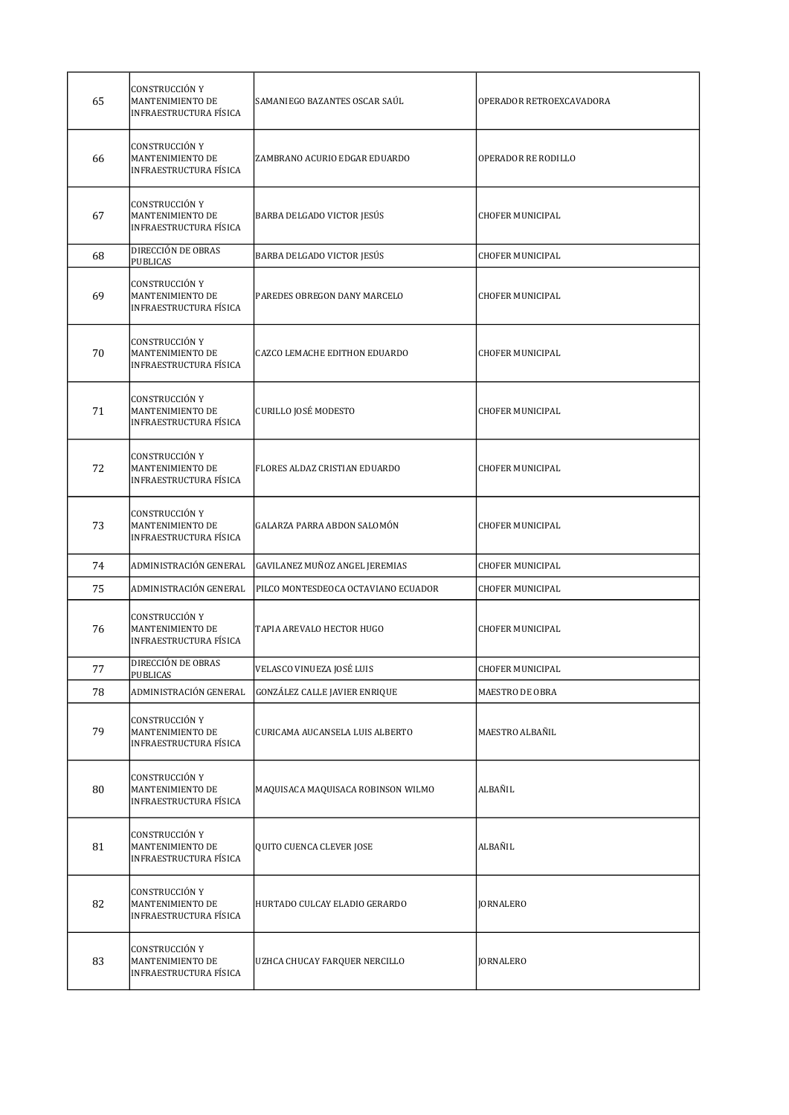| 65     | CONSTRUCCIÓN Y<br>MANTENIMIENTO DE<br>INFRAESTRUCTURA FÍSICA               | SAMANIEGO BAZANTES OSCAR SAÚL        | OPERADOR RETROEXCAVADORA |
|--------|----------------------------------------------------------------------------|--------------------------------------|--------------------------|
| 66     | CONSTRUCCIÓN Y<br>MANTENIMIENTO DE<br><b>INFRAESTRUCTURA FÍSICA</b>        | ZAMBRANO ACURIO EDGAR EDUARDO        | OPERADOR RE RODILLO      |
| 67     | <b>CONSTRUCCIÓN Y</b><br>MANTENIMIENTO DE<br><b>INFRAESTRUCTURA FÍSICA</b> | BARBA DELGADO VICTOR JESÚS           | <b>CHOFER MUNICIPAL</b>  |
| 68     | DIRECCIÓN DE OBRAS<br>PUBLICAS                                             | BARBA DELGADO VICTOR JESÚS           | <b>CHOFER MUNICIPAL</b>  |
| 69     | CONSTRUCCIÓN Y<br>MANTENIMIENTO DE<br><b>INFRAESTRUCTURA FÍSICA</b>        | PAREDES OBREGON DANY MARCELO         | <b>CHOFER MUNICIPAL</b>  |
| 70     | <b>CONSTRUCCIÓN Y</b><br>MANTENIMIENTO DE<br>INFRAESTRUCTURA FÍSICA        | CAZCO LEMACHE EDITHON EDUARDO        | <b>CHOFER MUNICIPAL</b>  |
| 71     | CONSTRUCCIÓN Y<br>MANTENIMIENTO DE<br><b>INFRAESTRUCTURA FÍSICA</b>        | <b>CURILLO JOSÉ MODESTO</b>          | <b>CHOFER MUNICIPAL</b>  |
| 72     | CONSTRUCCIÓN Y<br>MANTENIMIENTO DE<br>INFRAESTRUCTURA FÍSICA               | FLORES ALDAZ CRISTIAN EDUARDO        | <b>CHOFER MUNICIPAL</b>  |
| 73     | CONSTRUCCIÓN Y<br>MANTENIMIENTO DE<br>INFRAESTRUCTURA FÍSICA               | GALARZA PARRA ABDON SALOMÓN          | <b>CHOFER MUNICIPAL</b>  |
| 74     | ADMINISTRACIÓN GENERAL                                                     | GAVILANEZ MUÑOZ ANGEL JEREMIAS       | <b>CHOFER MUNICIPAL</b>  |
| 75     | ADMINISTRACIÓN GENERAL                                                     | PILCO MONTESDEOCA OCTAVIANO ECUADOR  | <b>CHOFER MUNICIPAL</b>  |
| 76     | CONSTRUCCIÓN Y<br>MANTENIMIENTO DE<br>INFRAESTRUCTURA FÍSICA               | TAPIA AREVALO HECTOR HUGO            | <b>CHOFER MUNICIPAL</b>  |
| $77\,$ | DIRECCIÓN DE OBRAS<br><b>PUBLICAS</b>                                      | VELASCO VINUEZA JOSÉ LUIS            | CHOFER MUNICIPAL         |
| 78     | ADMINISTRACIÓN GENERAL                                                     | <b>GONZÁLEZ CALLE JAVIER ENRIQUE</b> | MAESTRO DE OBRA          |
| 79     | CONSTRUCCIÓN Y<br>MANTENIMIENTO DE<br>INFRAESTRUCTURA FÍSICA               | CURICAMA AUCANSELA LUIS ALBERTO      | MAESTRO ALBAÑIL          |
| 80     | CONSTRUCCIÓN Y<br>MANTENIMIENTO DE<br>INFRAESTRUCTURA FÍSICA               | MAQUISACA MAQUISACA ROBINSON WILMO   | ALBAÑIL                  |
| 81     | CONSTRUCCIÓN Y<br>MANTENIMIENTO DE<br>INFRAESTRUCTURA FÍSICA               | QUITO CUENCA CLEVER JOSE             | ALBAÑIL                  |
| 82     | CONSTRUCCIÓN Y<br>MANTENIMIENTO DE<br>INFRAESTRUCTURA FÍSICA               | HURTADO CULCAY ELADIO GERARDO        | <b>JORNALERO</b>         |
| 83     | CONSTRUCCIÓN Y<br>MANTENIMIENTO DE<br>INFRAESTRUCTURA FÍSICA               | UZHCA CHUCAY FARQUER NERCILLO        | JORNALERO                |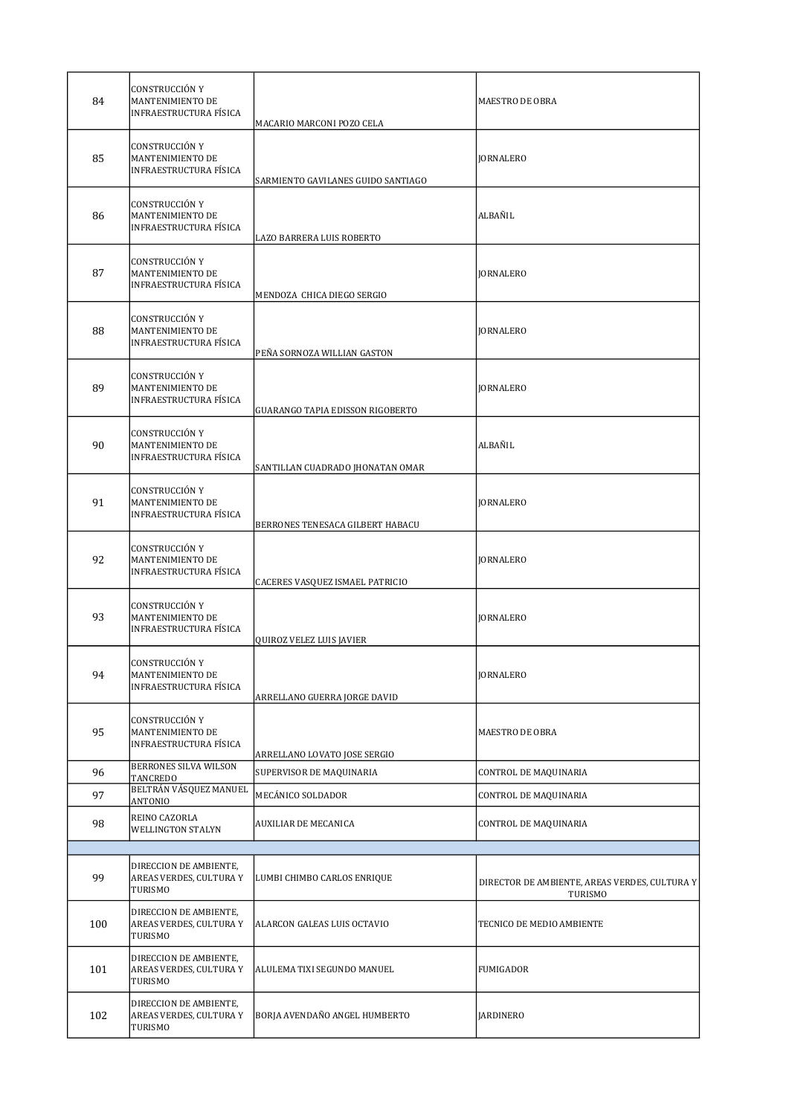| 84  | CONSTRUCCIÓN Y<br>MANTENIMIENTO DE<br><b>INFRAESTRUCTURA FÍSICA</b> | MACARIO MARCONI POZO CELA          | <b>MAESTRO DE OBRA</b>                                   |
|-----|---------------------------------------------------------------------|------------------------------------|----------------------------------------------------------|
| 85  | CONSTRUCCIÓN Y<br>MANTENIMIENTO DE<br><b>INFRAESTRUCTURA FÍSICA</b> | SARMIENTO GAVILANES GUIDO SANTIAGO | <b>JORNALERO</b>                                         |
| 86  | CONSTRUCCIÓN Y<br>MANTENIMIENTO DE<br>INFRAESTRUCTURA FÍSICA        | LAZO BARRERA LUIS ROBERTO          | ALBAÑIL                                                  |
| 87  | CONSTRUCCIÓN Y<br>MANTENIMIENTO DE<br>INFRAESTRUCTURA FÍSICA        | MENDOZA CHICA DIEGO SERGIO         | <b>JORNALERO</b>                                         |
| 88  | CONSTRUCCIÓN Y<br>MANTENIMIENTO DE<br>INFRAESTRUCTURA FÍSICA        | PEÑA SORNOZA WILLIAN GASTON        | <b>JORNALERO</b>                                         |
| 89  | CONSTRUCCIÓN Y<br>MANTENIMIENTO DE<br>INFRAESTRUCTURA FÍSICA        | GUARANGO TAPIA EDISSON RIGOBERTO   | <b>JORNALERO</b>                                         |
| 90  | CONSTRUCCIÓN Y<br>MANTENIMIENTO DE<br>INFRAESTRUCTURA FÍSICA        | SANTILLAN CUADRADO JHONATAN OMAR   | ALBAÑIL                                                  |
| 91  | CONSTRUCCIÓN Y<br>MANTENIMIENTO DE<br>INFRAESTRUCTURA FÍSICA        | BERRONES TENESACA GILBERT HABACU   | <b>JORNALERO</b>                                         |
| 92  | CONSTRUCCIÓN Y<br>MANTENIMIENTO DE<br>INFRAESTRUCTURA FÍSICA        | CACERES VASQUEZ ISMAEL PATRICIO    | <b>JORNALERO</b>                                         |
| 93  | CONSTRUCCIÓN Y<br>MANTENIMIENTO DE<br>INFRAESTRUCTURA FÍSICA        | QUIROZ VELEZ LUIS JAVIER           | <b>IORNALERO</b>                                         |
| 94  | CONSTRUCCIÓN Y<br>MANTENIMIENTO DE<br>INFRAESTRUCTURA FÍSICA        | ARRELLANO GUERRA JORGE DAVID       | <b>JORNALERO</b>                                         |
| 95  | CONSTRUCCIÓN Y<br>MANTENIMIENTO DE<br>INFRAESTRUCTURA FÍSICA        | ARRELLANO LOVATO JOSE SERGIO       | MAESTRO DE OBRA                                          |
| 96  | BERRONES SILVA WILSON<br>TANCREDO                                   | SUPERVISOR DE MAQUINARIA           | CONTROL DE MAQUINARIA                                    |
| 97  | BELTRÁN VÁSQUEZ MANUEL<br>ANTONIO                                   | MECÁNICO SOLDADOR                  | CONTROL DE MAQUINARIA                                    |
| 98  | REINO CAZORLA<br>WELLINGTON STALYN                                  | AUXILIAR DE MECANICA               | CONTROL DE MAQUINARIA                                    |
|     |                                                                     |                                    |                                                          |
| 99  | DIRECCION DE AMBIENTE,<br>AREAS VERDES, CULTURA Y<br>TURISMO        | LUMBI CHIMBO CARLOS ENRIQUE        | DIRECTOR DE AMBIENTE, AREAS VERDES, CULTURA Y<br>TURISMO |
| 100 | DIRECCION DE AMBIENTE,<br>AREAS VERDES, CULTURA Y<br>TURISMO        | ALARCON GALEAS LUIS OCTAVIO        | TECNICO DE MEDIO AMBIENTE                                |
| 101 | DIRECCION DE AMBIENTE,<br>AREAS VERDES, CULTURA Y<br>TURISMO        | ALULEMA TIXI SEGUNDO MANUEL        | FUMIGADOR                                                |
| 102 | DIRECCION DE AMBIENTE,<br>AREAS VERDES, CULTURA Y<br>TURISMO        | BORJA AVENDAÑO ANGEL HUMBERTO      | JARDINERO                                                |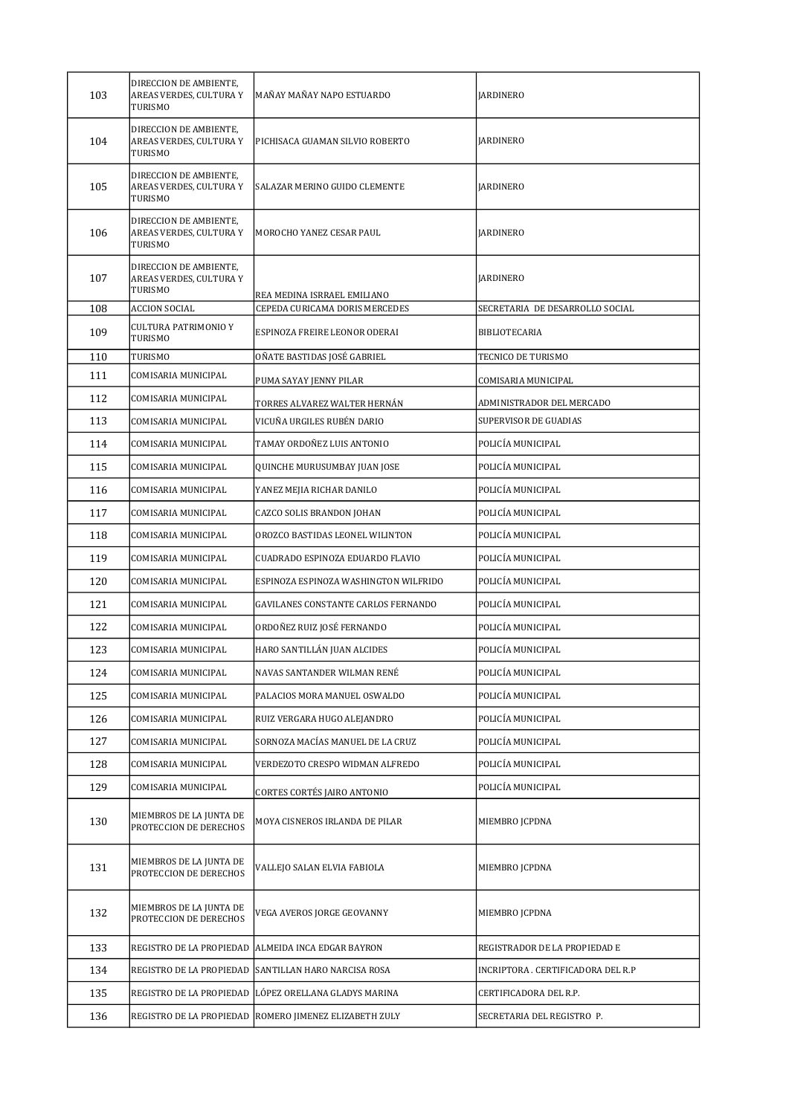| 103 | DIRECCION DE AMBIENTE,<br>AREAS VERDES, CULTURA Y<br>TURISMO | MAÑAY MAÑAY NAPO ESTUARDO                  | JARDINERO                          |
|-----|--------------------------------------------------------------|--------------------------------------------|------------------------------------|
| 104 | DIRECCION DE AMBIENTE,<br>AREAS VERDES, CULTURA Y<br>TURISMO | PICHISACA GUAMAN SILVIO ROBERTO            | <b>JARDINERO</b>                   |
| 105 | DIRECCION DE AMBIENTE,<br>AREAS VERDES, CULTURA Y<br>TURISMO | SALAZAR MERINO GUIDO CLEMENTE              | <b>JARDINERO</b>                   |
| 106 | DIRECCION DE AMBIENTE,<br>AREAS VERDES, CULTURA Y<br>TURISMO | MOROCHO YANEZ CESAR PAUL                   | <b>JARDINERO</b>                   |
| 107 | DIRECCION DE AMBIENTE,<br>AREAS VERDES, CULTURA Y<br>TURISMO | REA MEDINA ISRRAEL EMILIANO                | <b>JARDINERO</b>                   |
| 108 | <b>ACCION SOCIAL</b>                                         | CEPEDA CURICAMA DORIS MERCEDES             | SECRETARIA DE DESARROLLO SOCIAL    |
| 109 | <b>CULTURA PATRIMONIO Y</b><br><b>TURISMO</b>                | ESPINOZA FREIRE LEONOR ODERAI              | <b>BIBLIOTECARIA</b>               |
| 110 | TURISMO                                                      | OÑATE BASTIDAS JOSÉ GABRIEL                | TECNICO DE TURISMO                 |
| 111 | COMISARIA MUNICIPAL                                          | PUMA SAYAY JENNY PILAR                     | COMISARIA MUNICIPAL                |
| 112 | COMISARIA MUNICIPAL                                          | TORRES ALVAREZ WALTER HERNÁN               | ADMINISTRADOR DEL MERCADO          |
| 113 | COMISARIA MUNICIPAL                                          | VICUÑA URGILES RUBÉN DARIO                 | SUPERVISOR DE GUADIAS              |
| 114 | COMISARIA MUNICIPAL                                          | TAMAY ORDOÑEZ LUIS ANTONIO                 | POLICÍA MUNICIPAL                  |
| 115 | COMISARIA MUNICIPAL                                          | QUINCHE MURUSUMBAY JUAN JOSE               | POLICÍA MUNICIPAL                  |
| 116 | COMISARIA MUNICIPAL                                          | YANEZ MEJIA RICHAR DANILO                  | POLICÍA MUNICIPAL                  |
| 117 | COMISARIA MUNICIPAL                                          | CAZCO SOLIS BRANDON JOHAN                  | POLICÍA MUNICIPAL                  |
| 118 | COMISARIA MUNICIPAL                                          | OROZCO BASTIDAS LEONEL WILINTON            | POLICÍA MUNICIPAL                  |
| 119 | COMISARIA MUNICIPAL                                          | CUADRADO ESPINOZA EDUARDO FLAVIO           | POLICÍA MUNICIPAL                  |
| 120 | COMISARIA MUNICIPAL                                          | ESPINOZA ESPINOZA WASHINGTON WILFRIDO      | POLICÍA MUNICIPAL                  |
| 121 | COMISARIA MUNICIPAL                                          | <b>GAVILANES CONSTANTE CARLOS FERNANDO</b> | POLICÍA MUNICIPAL                  |
| 122 | COMISARIA MUNICIPAL                                          | ORDOÑEZ RUIZ JOSÉ FERNANDO                 | POLICÍA MUNICIPAL                  |
| 123 | COMISARIA MUNICIPAL                                          | HARO SANTILLÁN JUAN ALCIDES                | POLICÍA MUNICIPAL                  |
| 124 | COMISARIA MUNICIPAL                                          | NAVAS SANTANDER WILMAN RENÉ                | POLICÍA MUNICIPAL                  |
| 125 | COMISARIA MUNICIPAL                                          | PALACIOS MORA MANUEL OSWALDO               | POLICÍA MUNICIPAL                  |
| 126 | COMISARIA MUNICIPAL                                          | RUIZ VERGARA HUGO ALEJANDRO                | POLICÍA MUNICIPAL                  |
| 127 | COMISARIA MUNICIPAL                                          | SORNOZA MACÍAS MANUEL DE LA CRUZ           | POLICÍA MUNICIPAL                  |
| 128 | COMISARIA MUNICIPAL                                          | VERDEZOTO CRESPO WIDMAN ALFREDO            | POLICÍA MUNICIPAL                  |
| 129 | COMISARIA MUNICIPAL                                          | CORTES CORTÉS JAIRO ANTONIO                | POLICÍA MUNICIPAL                  |
| 130 | MIEMBROS DE LA JUNTA DE<br>PROTECCION DE DERECHOS            | MOYA CISNEROS IRLANDA DE PILAR             | MIEMBRO JCPDNA                     |
| 131 | MIEMBROS DE LA JUNTA DE<br>PROTECCION DE DERECHOS            | VALLEJO SALAN ELVIA FABIOLA                | MIEMBRO JCPDNA                     |
| 132 | MIEMBROS DE LA JUNTA DE<br>PROTECCION DE DERECHOS            | VEGA AVEROS JORGE GEOVANNY                 | MIEMBRO JCPDNA                     |
| 133 | REGISTRO DE LA PROPIEDAD                                     | ALMEIDA INCA EDGAR BAYRON                  | REGISTRADOR DE LA PROPIEDAD E      |
| 134 | REGISTRO DE LA PROPIEDAD                                     | SANTILLAN HARO NARCISA ROSA                | INCRIPTORA . CERTIFICADORA DEL R.P |
| 135 | REGISTRO DE LA PROPIEDAD                                     | LÓPEZ ORELLANA GLADYS MARINA               | CERTIFICADORA DEL R.P.             |
| 136 | REGISTRO DE LA PROPIEDAD                                     | ROMERO JIMENEZ ELIZABETH ZULY              | SECRETARIA DEL REGISTRO P.         |